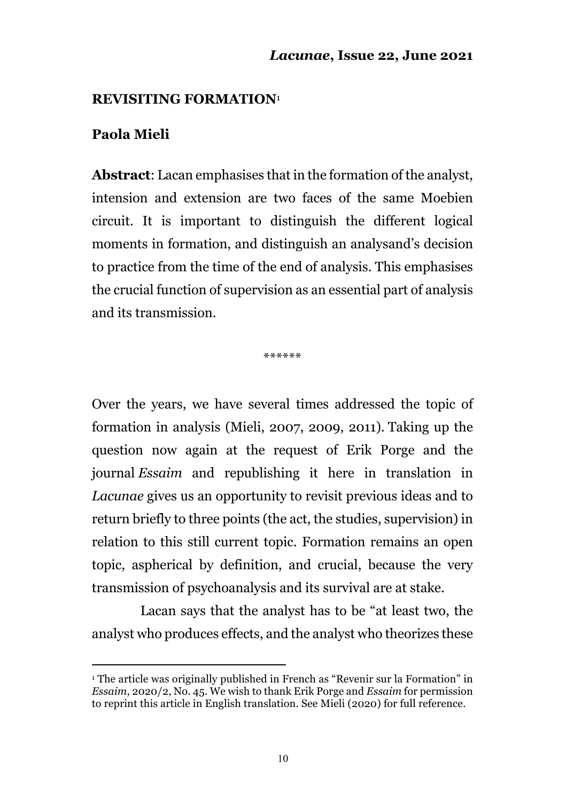#### **REVISITING FORMATION**<sup>1</sup>

### **Paola Mieli**

**Abstract**: Lacan emphasises that in the formation of the analyst, intension and extension are two faces of the same Moebien circuit. It is important to distinguish the different logical moments in formation, and distinguish an analysand's decision to practice from the time of the end of analysis. This emphasises the crucial function of supervision as an essential part of analysis and its transmission.

\*\*\*\*\*\*

Over the years, we have several times addressed the topic of formation in analysis (Mieli, 2007, 2009, 2011). Taking up the question now again at the request of Erik Porge and the journal *Essaim* and republishing it here in translation in *Lacunae* gives us an opportunity to revisit previous ideas and to return briefly to three points (the act, the studies, supervision) in relation to this still current topic. Formation remains an open topic, aspherical by definition, and crucial, because the very transmission of psychoanalysis and its survival are at stake.

Lacan says that the analyst has to be "at least two, the analyst who produces effects, and the analyst who theorizes these

<sup>&</sup>lt;sup>1</sup> The article was originally published in French as "Revenir sur la Formation" in *Essaim*, 2020/2, No. 45. We wish to thank Erik Porge and *Essaim* for permission to reprint this article in English translation. See Mieli (2020) for full reference.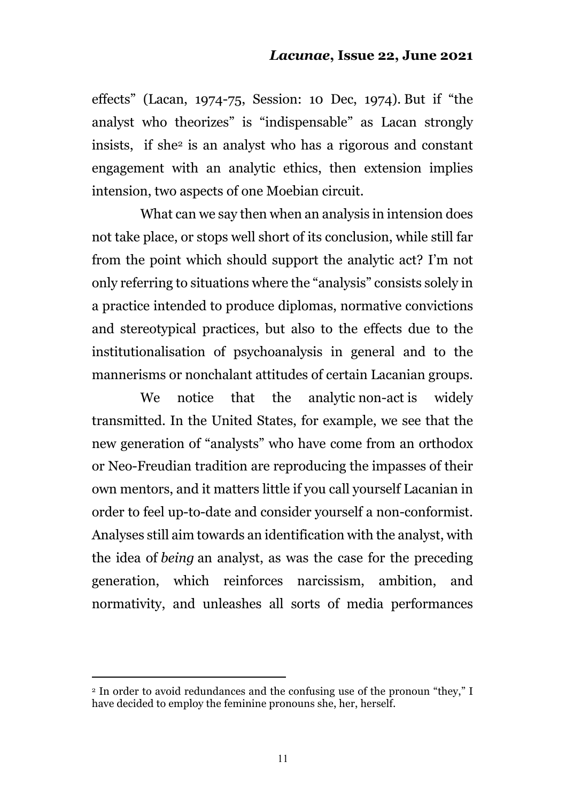effects" (Lacan, 1974-75, Session: 10 Dec, 1974). But if "the analyst who theorizes" is "indispensable" as Lacan strongly insists, if she2 is an analyst who has a rigorous and constant engagement with an analytic ethics, then extension implies intension, two aspects of one Moebian circuit.

What can we say then when an analysis in intension does not take place, or stops well short of its conclusion, while still far from the point which should support the analytic act? I'm not only referring to situations where the "analysis" consists solely in a practice intended to produce diplomas, normative convictions and stereotypical practices, but also to the effects due to the institutionalisation of psychoanalysis in general and to the mannerisms or nonchalant attitudes of certain Lacanian groups.

We notice that the analytic non-act is widely transmitted. In the United States, for example, we see that the new generation of "analysts" who have come from an orthodox or Neo-Freudian tradition are reproducing the impasses of their own mentors, and it matters little if you call yourself Lacanian in order to feel up-to-date and consider yourself a non-conformist. Analyses still aim towards an identification with the analyst, with the idea of *being* an analyst, as was the case for the preceding generation, which reinforces narcissism, ambition, and normativity, and unleashes all sorts of media performances

<sup>2</sup> In order to avoid redundances and the confusing use of the pronoun "they," I have decided to employ the feminine pronouns she, her, herself.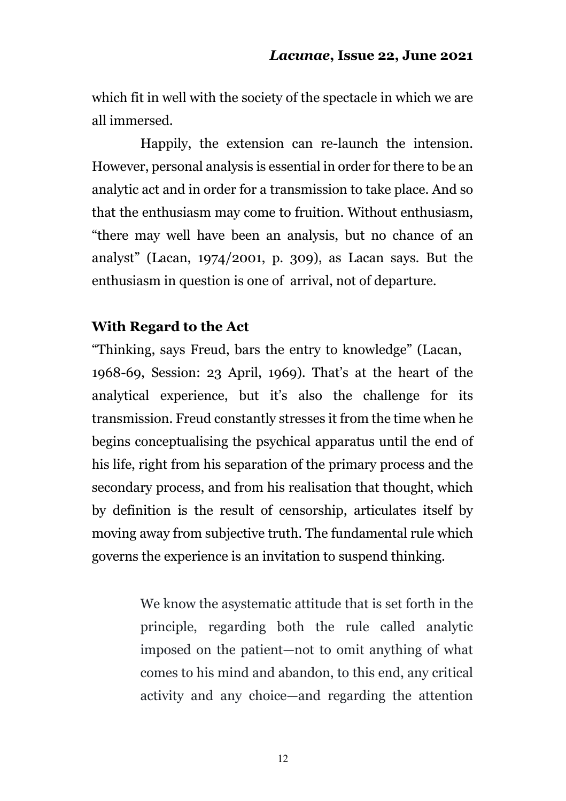which fit in well with the society of the spectacle in which we are all immersed.

Happily, the extension can re-launch the intension. However, personal analysis is essential in order for there to be an analytic act and in order for a transmission to take place. And so that the enthusiasm may come to fruition. Without enthusiasm, "there may well have been an analysis, but no chance of an analyst" (Lacan, 1974/2001, p. 309), as Lacan says. But the enthusiasm in question is one of arrival, not of departure.

# **With Regard to the Act**

"Thinking, says Freud, bars the entry to knowledge" (Lacan, 1968-69, Session: 23 April, 1969). That's at the heart of the analytical experience, but it's also the challenge for its transmission. Freud constantly stresses it from the time when he begins conceptualising the psychical apparatus until the end of his life, right from his separation of the primary process and the secondary process, and from his realisation that thought, which by definition is the result of censorship, articulates itself by moving away from subjective truth. The fundamental rule which governs the experience is an invitation to suspend thinking.

> We know the asystematic attitude that is set forth in the principle, regarding both the rule called analytic imposed on the patient—not to omit anything of what comes to his mind and abandon, to this end, any critical activity and any choice—and regarding the attention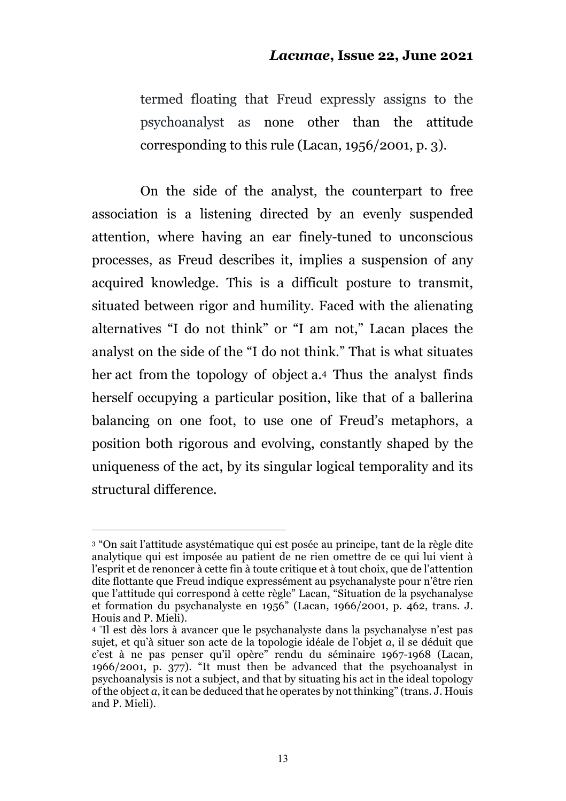termed floating that Freud expressly assigns to the psychoanalyst as none other than the attitude corresponding to this rule (Lacan, 1956/2001, p. 3).

On the side of the analyst, the counterpart to free association is a listening directed by an evenly suspended attention, where having an ear finely-tuned to unconscious processes, as Freud describes it, implies a suspension of any acquired knowledge. This is a difficult posture to transmit, situated between rigor and humility. Faced with the alienating alternatives "I do not think" or "I am not," Lacan places the analyst on the side of the "I do not think." That is what situates her act from the topology of object a.4 Thus the analyst finds herself occupying a particular position, like that of a ballerina balancing on one foot, to use one of Freud's metaphors, a position both rigorous and evolving, constantly shaped by the uniqueness of the act, by its singular logical temporality and its structural difference.

<sup>3</sup> "On sait l'attitude asystématique qui est posée au principe, tant de la règle dite analytique qui est imposée au patient de ne rien omettre de ce qui lui vient à l'esprit et de renoncer à cette fin à toute critique et à tout choix, que de l'attention dite flottante que Freud indique expressément au psychanalyste pour n'être rien que l'attitude qui correspond à cette règle" Lacan, "Situation de la psychanalyse et formation du psychanalyste en 1956" (Lacan, 1966/2001, p. 462, trans. J.

<sup>&</sup>lt;sup>4</sup> "Il est dès lors à avancer que le psychanalyste dans la psychanalyse n'est pas sujet, et qu'à situer son acte de la topologie idéale de l'objet *a*, il se déduit que c'est à ne pas penser qu'il opère" rendu du séminaire 1967-1968 (Lacan, 1966/2001, p.  $377$ ). "It must then be advanced that the psychoanalyst in psychoanalysis is not a subject, and that by situating his act in the ideal topology of the object *a*, it can be deduced that he operates by not thinking" (trans. J. Houis and P. Mieli).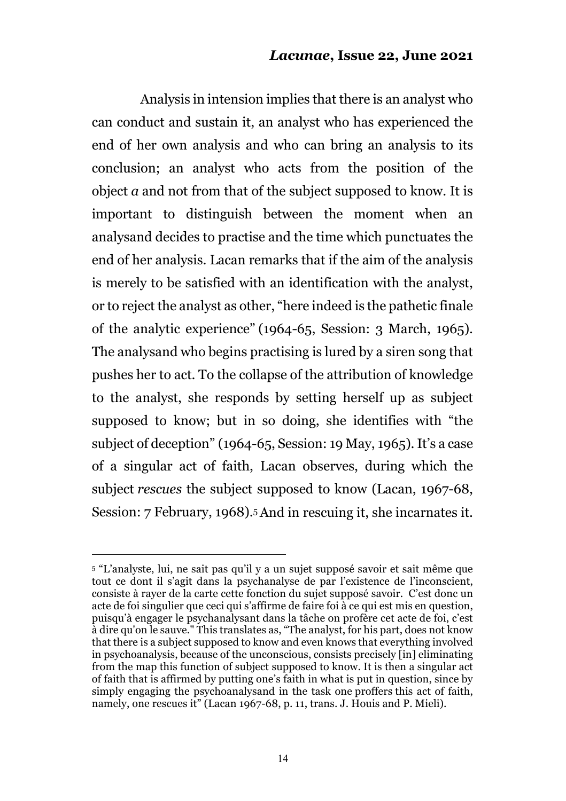Analysis in intension implies that there is an analyst who can conduct and sustain it, an analyst who has experienced the end of her own analysis and who can bring an analysis to its conclusion; an analyst who acts from the position of the object *a* and not from that of the subject supposed to know. It is important to distinguish between the moment when an analysand decides to practise and the time which punctuates the end of her analysis. Lacan remarks that if the aim of the analysis is merely to be satisfied with an identification with the analyst, or to reject the analyst as other, "here indeed is the pathetic finale of the analytic experience" (1964-65, Session: 3 March, 1965). The analysand who begins practising is lured by a siren song that pushes her to act. To the collapse of the attribution of knowledge to the analyst, she responds by setting herself up as subject supposed to know; but in so doing, she identifies with "the subject of deception" (1964-65, Session: 19 May, 1965). It's a case of a singular act of faith, Lacan observes, during which the subject *rescues* the subject supposed to know (Lacan, 1967-68, Session: 7 February, 1968).5And in rescuing it, she incarnates it.

<sup>5 &</sup>quot;L'analyste, lui, ne sait pas qu'il y a un sujet supposé savoir et sait même que tout ce dont il s'agit dans la psychanalyse de par l'existence de l'inconscient, consiste à rayer de la carte cette fonction du sujet supposé savoir. C'est donc un acte de foi singulier que ceci qui s'affirme de faire foi à ce qui est mis en question, puisqu'à engager le psychanalysant dans la tâche on profère cet acte de foi, c'est à dire qu'on le sauve." This translates as, "The analyst, for his part, does not know that there is a subject supposed to know and even knows that everything involved in psychoanalysis, because of the unconscious, consists precisely [in] eliminating from the map this function of subject supposed to know. It is then a singular act of faith that is affirmed by putting one's faith in what is put in question, since by simply engaging the psychoanalysand in the task one proffers this act of faith, namely, one rescues it" (Lacan 1967-68, p. 11, trans. J. Houis and P. Mieli).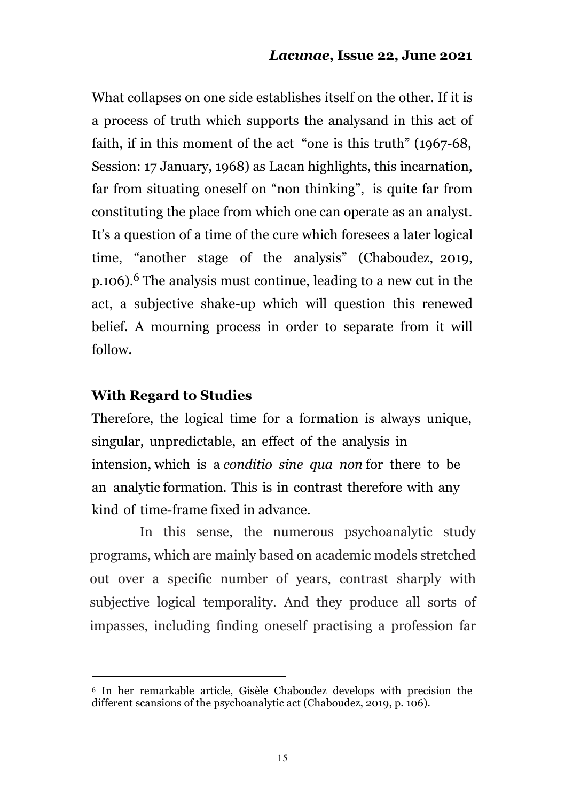What collapses on one side establishes itself on the other. If it is a process of truth which supports the analysand in this act of faith, if in this moment of the act "one is this truth" (1967-68, Session: 17 January, 1968) as Lacan highlights, this incarnation, far from situating oneself on "non thinking", is quite far from constituting the place from which one can operate as an analyst. It's a question of a time of the cure which foresees a later logical time, "another stage of the analysis" (Chaboudez, 2019, p.106). 6 The analysis must continue, leading to a new cut in the act, a subjective shake-up which will question this renewed belief. A mourning process in order to separate from it will follow.

### **With Regard to Studies**

Therefore, the logical time for a formation is always unique, singular, unpredictable, an effect of the analysis in intension, which is a *conditio sine qua non* for there to be an analytic formation. This is in contrast therefore with any kind of time-frame fixed in advance.

In this sense, the numerous psychoanalytic In this sense, the numerous psychoanalytic study programs, which are mainly based on academic models stretched out over a specific number of years, contrast sharply with subjective logical temporality. And they produce all sorts of impasses, including finding oneself practising a profession far

<sup>6</sup> In her remarkable article, Gisèle Chaboudez develops with precision the different scansions of the psychoanalytic act (Chaboudez, 2019, p. 106).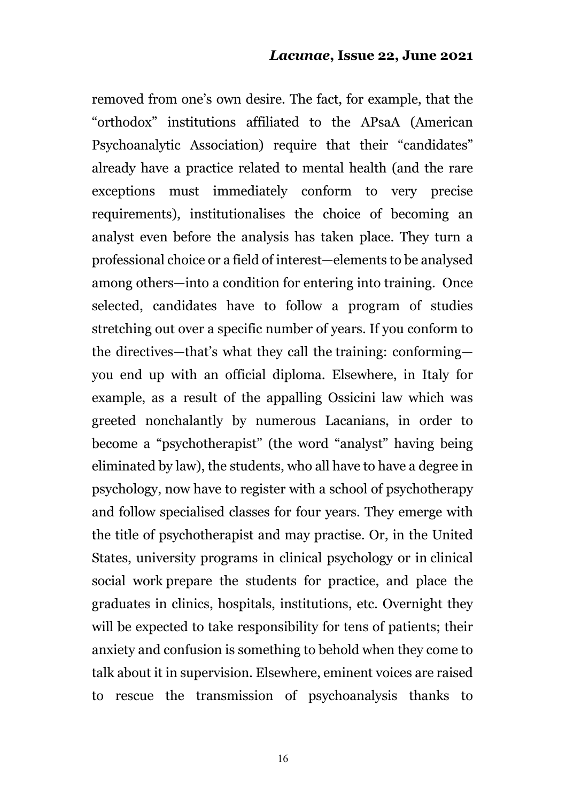removed from one's own desire. The fact, for example, that the "orthodox" institutions affiliated to the APsaA (American Psychoanalytic Association) require that their "candidates" already have a practice related to mental health (and the rare exceptions must immediately conform to very precise requirements), institutionalises the choice of becoming an analyst even before the analysis has taken place. They turn a professional choice or a field of interest—elements to be analysed among others—into a condition for entering into training. Once selected, candidates have to follow a program of studies stretching out over a specific number of years. If you conform to the directives—that's what they call the training: conforming you end up with an official diploma. Elsewhere, in Italy for example, as a result of the appalling Ossicini law which was greeted nonchalantly by numerous Lacanians, in order to become a "psychotherapist" (the word "analyst" having being eliminated by law), the students, who all have to have a degree in psychology, now have to register with a school of psychotherapy and follow specialised classes for four years. They emerge with the title of psychotherapist and may practise. Or, in the United States, university programs in clinical psychology or in clinical social work prepare the students for practice, and place the graduates in clinics, hospitals, institutions, etc. Overnight they will be expected to take responsibility for tens of patients; their anxiety and confusion is something to behold when they come to talk about it in supervision. Elsewhere, eminent voices are raised to rescue the transmission of psychoanalysis thanks to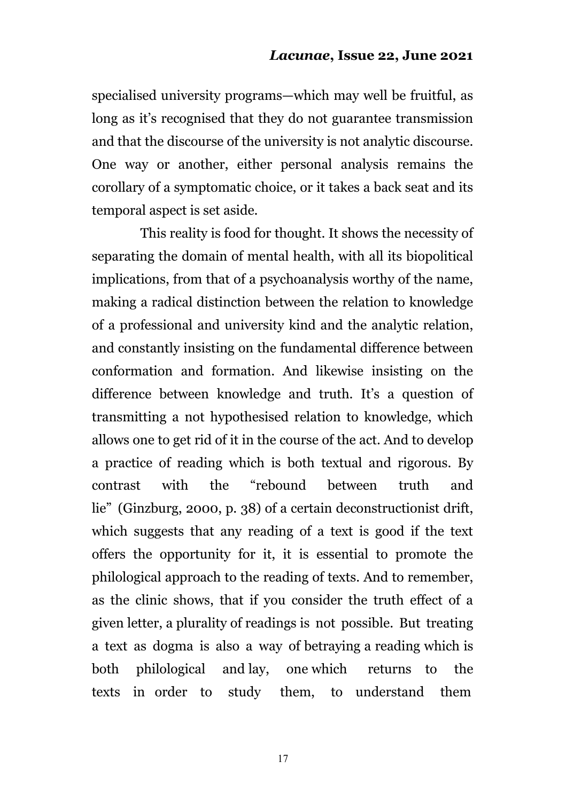specialised university programs—which may well be fruitful, as long as it's recognised that they do not guarantee transmission and that the discourse of the university is not analytic discourse. One way or another, either personal analysis remains the corollary of a symptomatic choice, or it takes a back seat and its temporal aspect is set aside.

This reality is food for thought. It shows the necessity of separating the domain of mental health, with all its biopolitical implications, from that of a psychoanalysis worthy of the name, making a radical distinction between the relation to knowledge of a professional and university kind and the analytic relation, and constantly insisting on the fundamental difference between conformation and formation. And likewise insisting on the difference between knowledge and truth. It's a question of transmitting a not hypothesised relation to knowledge, which allows one to get rid of it in the course of the act. And to develop a practice of reading which is both textual and rigorous. By contrast with the "rebound between truth and lie" (Ginzburg, 2000, p. 38) of a certain deconstructionist drift, which suggests that any reading of a text is good if the text offers the opportunity for it, it is essential to promote the philological approach to the reading of texts. And to remember, as the clinic shows, that if you consider the truth effect of a given letter, a plurality of readings is not possible. But treating a text as dogma is also a way of betraying a reading which is both philological and lay, one which returns to the texts in order to study them, to understand them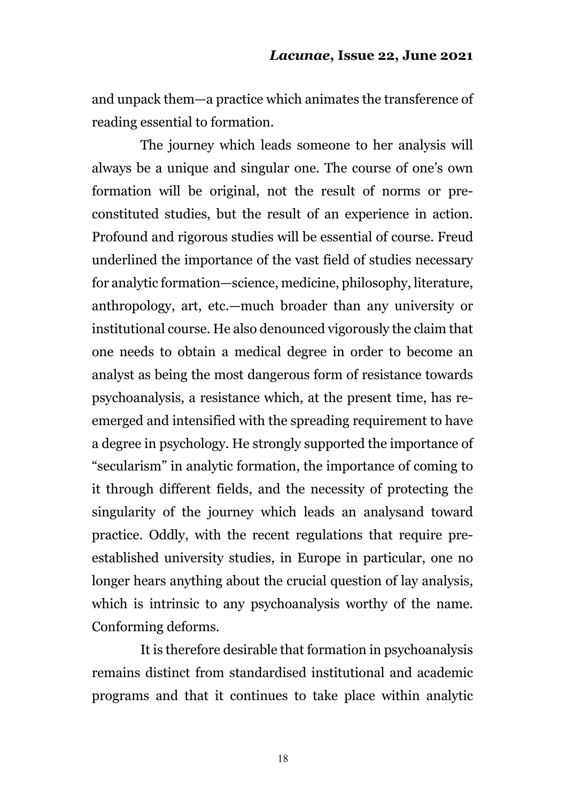and unpack them—a practice which animates the transference of reading essential to formation.

The journey which leads someone to her analysis will always be a unique and singular one. The course of one's own formation will be original, not the result of norms or preconstituted studies, but the result of an experience in action. Profound and rigorous studies will be essential of course. Freud underlined the importance of the vast field of studies necessary for analytic formation—science, medicine, philosophy, literature, anthropology, art, etc.—much broader than any university or institutional course. He also denounced vigorously the claim that one needs to obtain a medical degree in order to become an analyst as being the most dangerous form of resistance towards psychoanalysis, a resistance which, at the present time, has reemerged and intensified with the spreading requirement to have a degree in psychology. He strongly supported the importance of "secularism" in analytic formation, the importance of coming to it through different fields, and the necessity of protecting the singularity of the journey which leads an analysand toward practice. Oddly, with the recent regulations that require preestablished university studies, in Europe in particular, one no longer hears anything about the crucial question of lay analysis, which is intrinsic to any psychoanalysis worthy of the name. Conforming deforms.

It is therefore desirable that formation in psychoanalysis remains distinct from standardised institutional and academic programs and that it continues to take place within analytic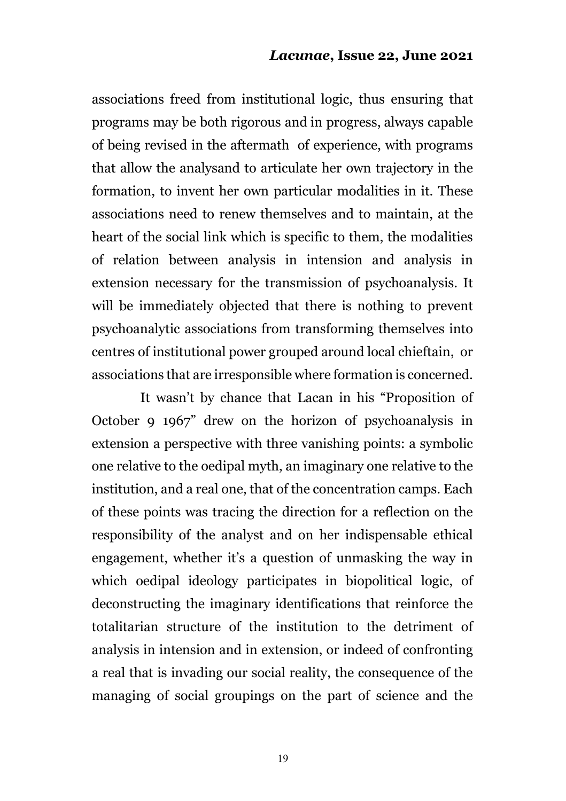associations freed from institutional logic, thus ensuring that programs may be both rigorous and in progress, always capable of being revised in the aftermath of experience, with programs that allow the analysand to articulate her own trajectory in the formation, to invent her own particular modalities in it. These associations need to renew themselves and to maintain, at the heart of the social link which is specific to them, the modalities of relation between analysis in intension and analysis in extension necessary for the transmission of psychoanalysis. It will be immediately objected that there is nothing to prevent psychoanalytic associations from transforming themselves into centres of institutional power grouped around local chieftain, or associations that are irresponsible where formation is concerned.

It wasn't by chance that Lacan in his "Proposition of October 9 1967" drew on the horizon of psychoanalysis in extension a perspective with three vanishing points: a symbolic one relative to the oedipal myth, an imaginary one relative to the institution, and a real one, that of the concentration camps. Each of these points was tracing the direction for a reflection on the responsibility of the analyst and on her indispensable ethical engagement, whether it's a question of unmasking the way in which oedipal ideology participates in biopolitical logic, of deconstructing the imaginary identifications that reinforce the totalitarian structure of the institution to the detriment of analysis in intension and in extension, or indeed of confronting a real that is invading our social reality, the consequence of the managing of social groupings on the part of science and the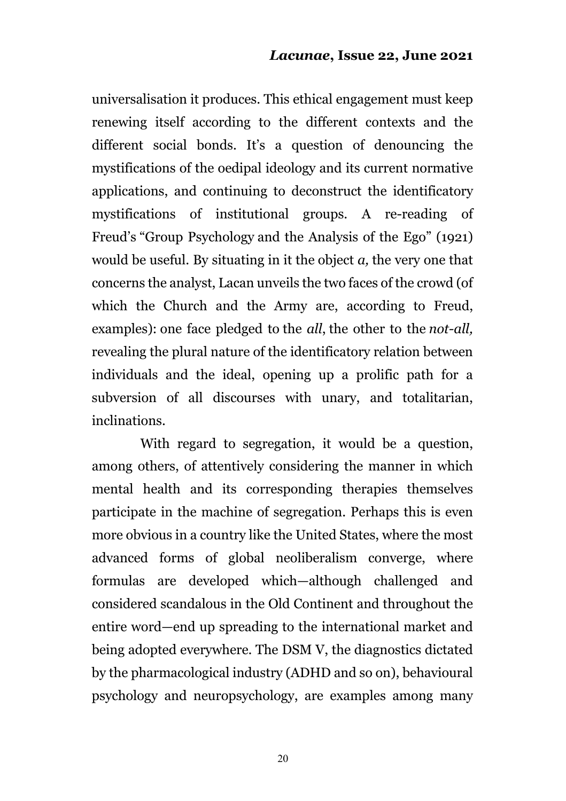universalisation it produces. This ethical engagement must keep renewing itself according to the different contexts and the different social bonds. It's a question of denouncing the mystifications of the oedipal ideology and its current normative applications, and continuing to deconstruct the identificatory mystifications of institutional groups. A re-reading of Freud's "Group Psychology and the Analysis of the Ego" (1921) would be useful. By situating in it the object *a,* the very one that concerns the analyst, Lacan unveils the two faces of the crowd (of which the Church and the Army are, according to Freud, examples): one face pledged to the *all*, the other to the *not-all,*  revealing the plural nature of the identificatory relation between individuals and the ideal, opening up a prolific path for a subversion of all discourses with unary, and totalitarian, inclinations.

With regard to segregation, it would be a question, among others, of attentively considering the manner in which mental health and its corresponding therapies themselves participate in the machine of segregation. Perhaps this is even more obvious in a country like the United States, where the most advanced forms of global neoliberalism converge, where formulas are developed which—although challenged and considered scandalous in the Old Continent and throughout the entire word—end up spreading to the international market and being adopted everywhere. The DSM V, the diagnostics dictated by the pharmacological industry (ADHD and so on), behavioural psychology and neuropsychology, are examples among many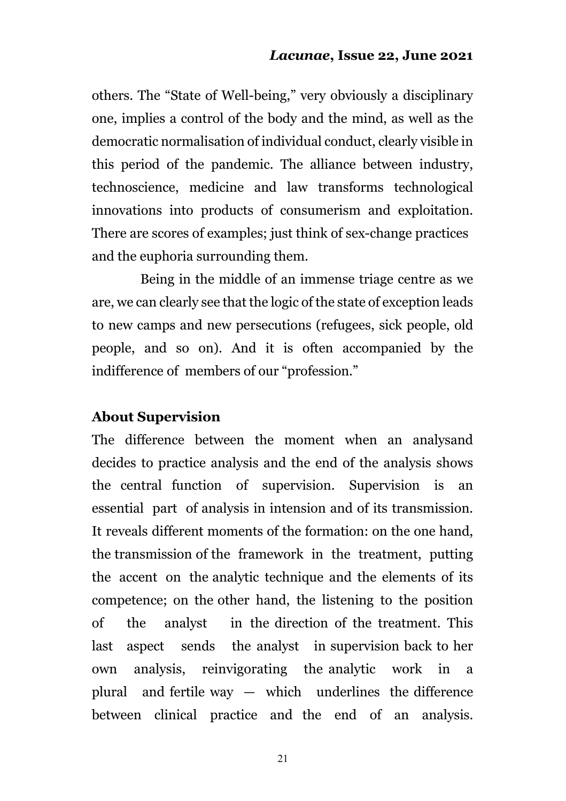others. The "State of Well-being," very obviously a disciplinary one, implies a control of the body and the mind, as well as the democratic normalisation of individual conduct, clearly visible in this period of the pandemic. The alliance between industry, technoscience, medicine and law transforms technological innovations into products of consumerism and exploitation. There are scores of examples; just think of sex-change practices and the euphoria surrounding them.

Being in the middle of an immense triage centre as we are, we can clearly see that the logic of the state of exception leads to new camps and new persecutions (refugees, sick people, old people, and so on). And it is often accompanied by the indifference of members of our "profession."

# **About Supervision**

The difference between the moment when an analysand decides to practice analysis and the end of the analysis shows the central function of supervision. Supervision is an essential part of analysis in intension and of its transmission. It reveals different moments of the formation: on the one hand, the transmission of the framework in the treatment, putting the accent on the analytic technique and the elements of its competence; on the other hand, the listening to the position of the analyst in the direction of the treatment. This last aspect sends the analyst in supervision back to her own analysis, reinvigorating the analytic work in a plural and fertile way — which underlines the difference between clinical practice and the end of an analysis.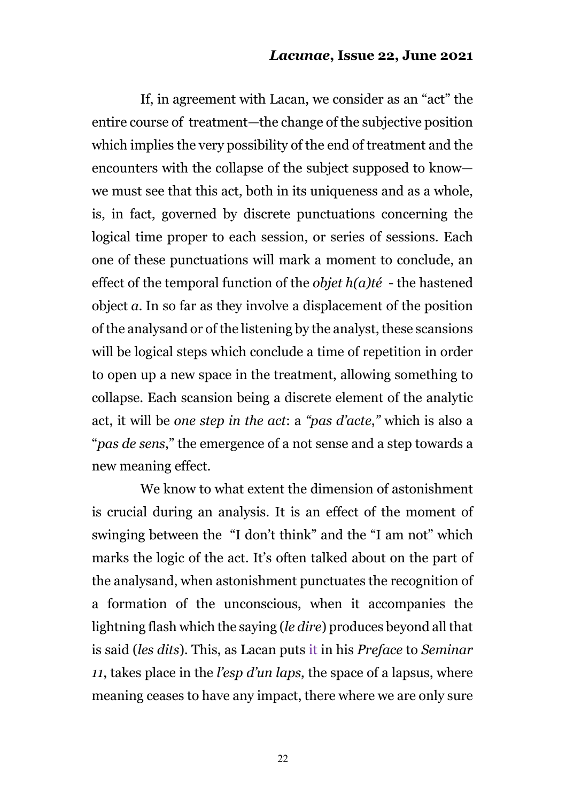If, in agreement with Lacan, we consider as an "act" the entire course of treatment—the change of the subjective position which implies the very possibility of the end of treatment and the encounters with the collapse of the subject supposed to know we must see that this act, both in its uniqueness and as a whole, is, in fact, governed by discrete punctuations concerning the logical time proper to each session, or series of sessions. Each one of these punctuations will mark a moment to conclude, an effect of the temporal function of the *objet h(a)té* - the hastened object *a*. In so far as they involve a displacement of the position of the analysand or of the listening by the analyst, these scansions will be logical steps which conclude a time of repetition in order to open up a new space in the treatment, allowing something to collapse. Each scansion being a discrete element of the analytic act, it will be *one step in the act*: a *"pas d'acte*,*"* which is also a "*pas de sens*," the emergence of a not sense and a step towards a new meaning effect.

We know to what extent the dimension of astonishment is crucial during an analysis. It is an effect of the moment of swinging between the "I don't think" and the "I am not" which marks the logic of the act. It's often talked about on the part of the analysand, when astonishment punctuates the recognition of a formation of the unconscious, when it accompanies the lightning flash which the saying (*le dire*) produces beyond all that is said (*les dits*). This, as Lacan puts it in his *Preface* to *Seminar 11*, takes place in the *l'esp d'un laps,* the space of a lapsus, where meaning ceases to have any impact, there where we are only sure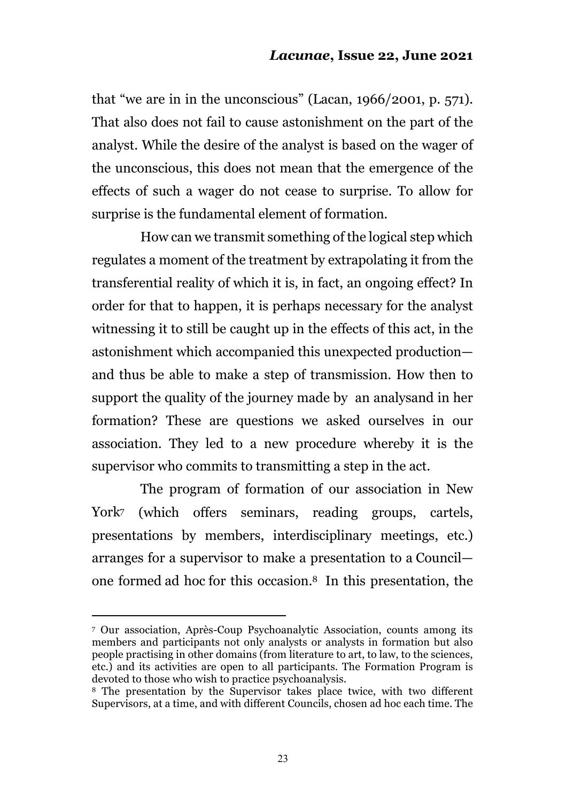that "we are in in the unconscious" (Lacan, 1966/2001, p. 571). That also does not fail to cause astonishment on the part of the analyst. While the desire of the analyst is based on the wager of the unconscious, this does not mean that the emergence of the effects of such a wager do not cease to surprise. To allow for surprise is the fundamental element of formation*.*

How can we transmit something of the logical step which regulates a moment of the treatment by extrapolating it from the transferential reality of which it is, in fact, an ongoing effect? In order for that to happen, it is perhaps necessary for the analyst witnessing it to still be caught up in the effects of this act, in the astonishment which accompanied this unexpected production and thus be able to make a step of transmission. How then to support the quality of the journey made by an analysand in her formation? These are questions we asked ourselves in our association. They led to a new procedure whereby it is the supervisor who commits to transmitting a step in the act.

The program of formation of our association in New York<sup>7</sup> (which offers seminars, reading groups, cartels, presentations by members, interdisciplinary meetings, etc.) arranges for a supervisor to make a presentation to a Council one formed ad hoc for this occasion.8 In this presentation, the

<sup>7</sup> Our association, Après-Coup Psychoanalytic Association, counts among its members and participants not only analysts or analysts in formation but also people practising in other domains (from literature to art, to law, to the sciences, etc.) and its activities are open to all participants. The Formation Program is devoted to those who wish to practice psychoanalysis.<br><sup>8</sup> The presentation by the Supervisor takes place twice, with two different

Supervisors, at a time, and with different Councils, chosen ad hoc each time. The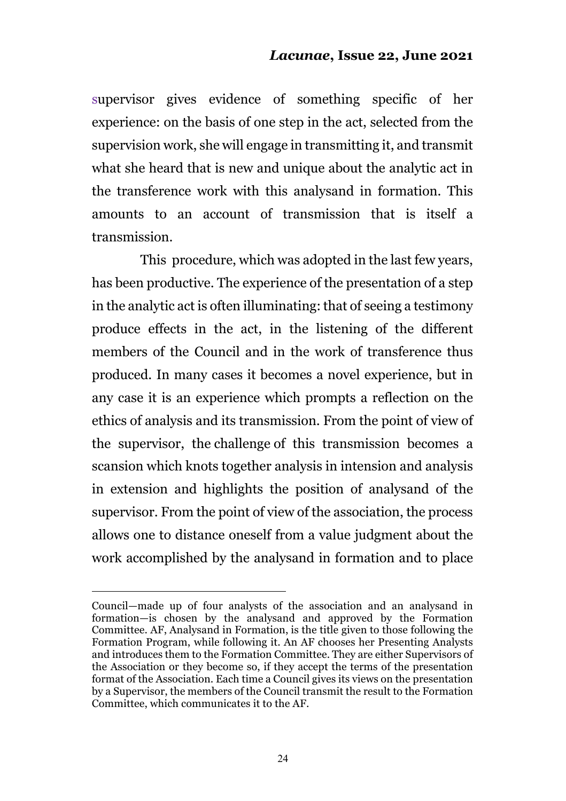supervisor gives evidence of something specific of her experience: on the basis of one step in the act, selected from the supervision work, she will engage in transmitting it, and transmit what she heard that is new and unique about the analytic act in the transference work with this analysand in formation. This amounts to an account of transmission that is itself a transmission.

This procedure, which was adopted in the last few years, has been productive. The experience of the presentation of a step in the analytic act is often illuminating: that of seeing a testimony produce effects in the act, in the listening of the different members of the Council and in the work of transference thus produced. In many cases it becomes a novel experience, but in any case it is an experience which prompts a reflection on the ethics of analysis and its transmission. From the point of view of the supervisor, the challenge of this transmission becomes a scansion which knots together analysis in intension and analysis in extension and highlights the position of analysand of the supervisor. From the point of view of the association, the process allows one to distance oneself from a value judgment about the work accomplished by the analysand in formation and to place

Council—made up of four analysts of the association and an analysand in formation—is chosen by the analysand and approved by the Formation Committee. AF, Analysand in Formation, is the title given to those following the Formation Program, while following it. An AF chooses her Presenting Analysts and introduces them to the Formation Committee. They are either Supervisors of the Association or they become so, if they accept the terms of the presentation format of the Association. Each time a Council gives its views on the presentation by a Supervisor, the members of the Council transmit the result to the Formation Committee, which communicates it to the AF.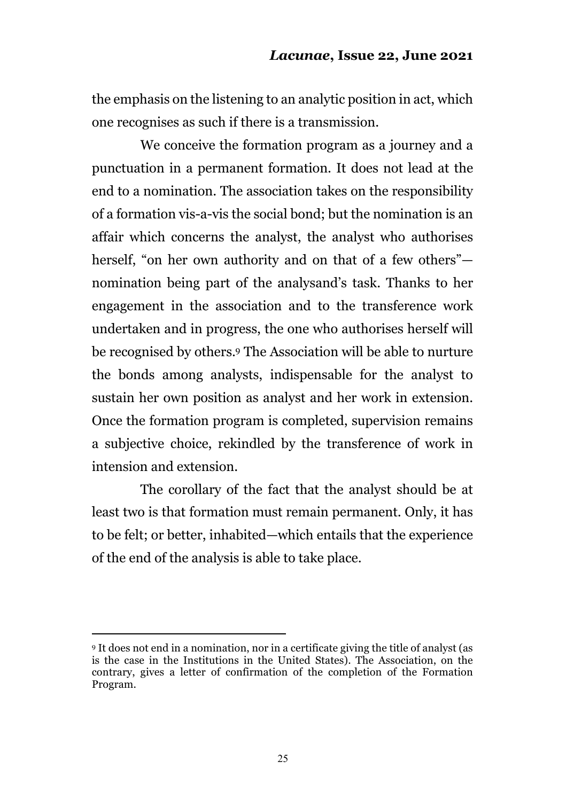the emphasis on the listening to an analytic position in act, which one recognises as such if there is a transmission.

We conceive the formation program as a journey and a punctuation in a permanent formation. It does not lead at the end to a nomination. The association takes on the responsibility of a formation vis-a-vis the social bond; but the nomination is an affair which concerns the analyst, the analyst who authorises herself, "on her own authority and on that of a few others" nomination being part of the analysand's task. Thanks to her engagement in the association and to the transference work undertaken and in progress, the one who authorises herself will be recognised by others.9 The Association will be able to nurture the bonds among analysts, indispensable for the analyst to sustain her own position as analyst and her work in extension. Once the formation program is completed, supervision remains a subjective choice, rekindled by the transference of work in intension and extension.

The corollary of the fact that the analyst should be at least two is that formation must remain permanent. Only, it has to be felt; or better, inhabited—which entails that the experience of the end of the analysis is able to take place.

<sup>9</sup> It does not end in a nomination, nor in a certificate giving the title of analyst (as is the case in the Institutions in the United States). The Association, on the contrary, gives a letter of confirmation of the completion of the Formation Program.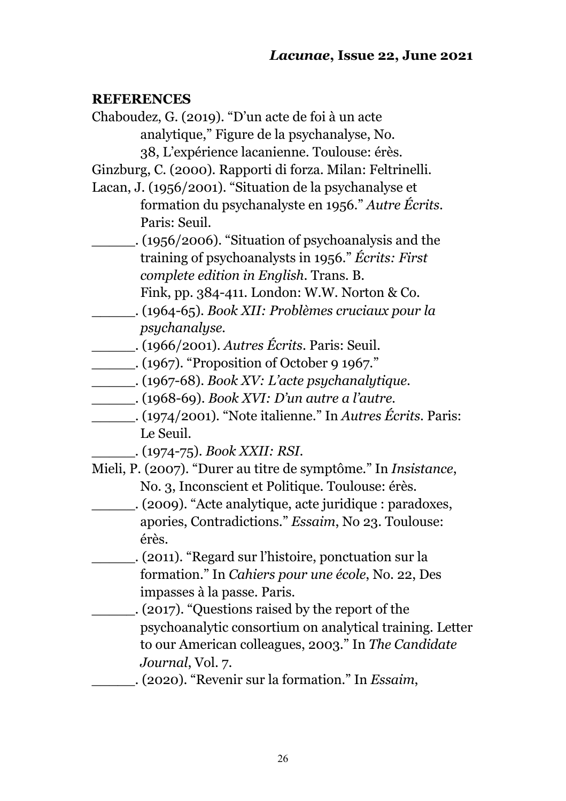### **REFERENCES**

- Chaboudez, G. (2019). "D'un acte de foi à un acte analytique," Figure de la psychanalyse, No. 38, L'expérience lacanienne. Toulouse: érès.
- Ginzburg, C. (2000). Rapporti di forza. Milan: Feltrinelli.
- Lacan, J. (1956/2001). "Situation de la psychanalyse et formation du psychanalyste en 1956." *Autre Écrits.* Paris: Seuil.
- \_\_\_\_\_. (1956/2006). "Situation of psychoanalysis and the training of psychoanalysts in 1956." *Écrits: First complete edition in English*. Trans. B.
	- Fink, pp. 384-411. London: W.W. Norton & Co.
- \_\_\_\_\_. (1964-65). *Book XII: Problèmes cruciaux pour la psychanalyse.*
- \_\_\_\_\_. (1966/2001). *Autres Écrits*. Paris: Seuil.
- \_\_\_\_\_. (1967). "Proposition of October 9 1967."
- \_\_\_\_\_. (1967-68). *Book XV: L'acte psychanalytique*.
- \_\_\_\_\_. (1968-69). *Book XVI: D'un autre a l'autre.*
- \_\_\_\_\_. (1974/2001). "Note italienne." In *Autres Écrits*. Paris: Le Seuil.
- \_\_\_\_\_. (1974-75). *Book XXII: RSI*.
- Mieli, P. (2007). "Durer au titre de symptôme." In *Insistance*, No. 3, Inconscient et Politique. Toulouse: érès.
- \_\_\_\_\_. (2009). "Acte analytique, acte juridique : paradoxes, apories, Contradictions." *Essaim*, No 23. Toulouse: érès.
- \_\_\_\_\_. (2011). "Regard sur l'histoire, ponctuation sur la formation." In *Cahiers pour une école*, No. 22, Des impasses à la passe. Paris.
- \_\_\_\_\_. (2017). "Questions raised by the report of the psychoanalytic consortium on analytical training. Letter to our American colleagues, 2003." In *The Candidate Journal*, Vol. 7.
- \_\_\_\_\_. (2020). "Revenir sur la formation." In *Essaim*,